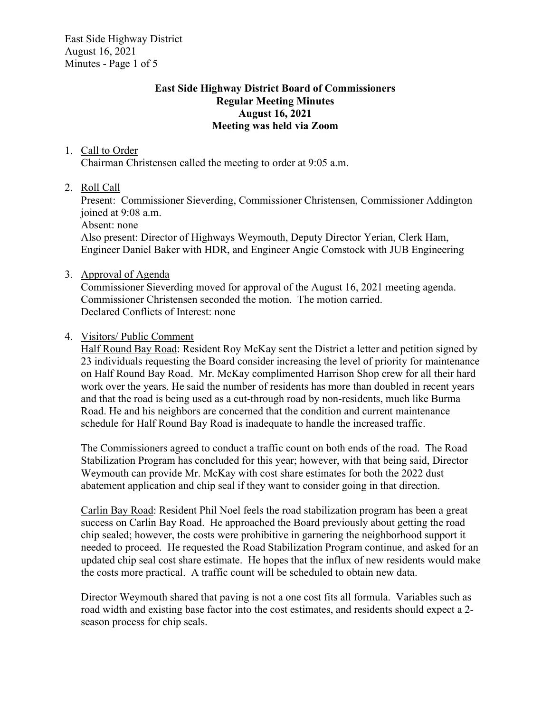East Side Highway District August 16, 2021 Minutes - Page 1 of 5

# East Side Highway District Board of Commissioners Regular Meeting Minutes August 16, 2021 Meeting was held via Zoom

### 1. Call to Order

Chairman Christensen called the meeting to order at 9:05 a.m.

2. Roll Call

Present: Commissioner Sieverding, Commissioner Christensen, Commissioner Addington joined at 9:08 a.m.

Absent: none

Also present: Director of Highways Weymouth, Deputy Director Yerian, Clerk Ham, Engineer Daniel Baker with HDR, and Engineer Angie Comstock with JUB Engineering

3. Approval of Agenda

Commissioner Sieverding moved for approval of the August 16, 2021 meeting agenda. Commissioner Christensen seconded the motion. The motion carried. Declared Conflicts of Interest: none

4. Visitors/ Public Comment

Half Round Bay Road: Resident Roy McKay sent the District a letter and petition signed by 23 individuals requesting the Board consider increasing the level of priority for maintenance on Half Round Bay Road. Mr. McKay complimented Harrison Shop crew for all their hard work over the years. He said the number of residents has more than doubled in recent years and that the road is being used as a cut-through road by non-residents, much like Burma Road. He and his neighbors are concerned that the condition and current maintenance schedule for Half Round Bay Road is inadequate to handle the increased traffic.

The Commissioners agreed to conduct a traffic count on both ends of the road. The Road Stabilization Program has concluded for this year; however, with that being said, Director Weymouth can provide Mr. McKay with cost share estimates for both the 2022 dust abatement application and chip seal if they want to consider going in that direction.

Carlin Bay Road: Resident Phil Noel feels the road stabilization program has been a great success on Carlin Bay Road. He approached the Board previously about getting the road chip sealed; however, the costs were prohibitive in garnering the neighborhood support it needed to proceed. He requested the Road Stabilization Program continue, and asked for an updated chip seal cost share estimate. He hopes that the influx of new residents would make the costs more practical. A traffic count will be scheduled to obtain new data.

Director Weymouth shared that paving is not a one cost fits all formula. Variables such as road width and existing base factor into the cost estimates, and residents should expect a 2 season process for chip seals.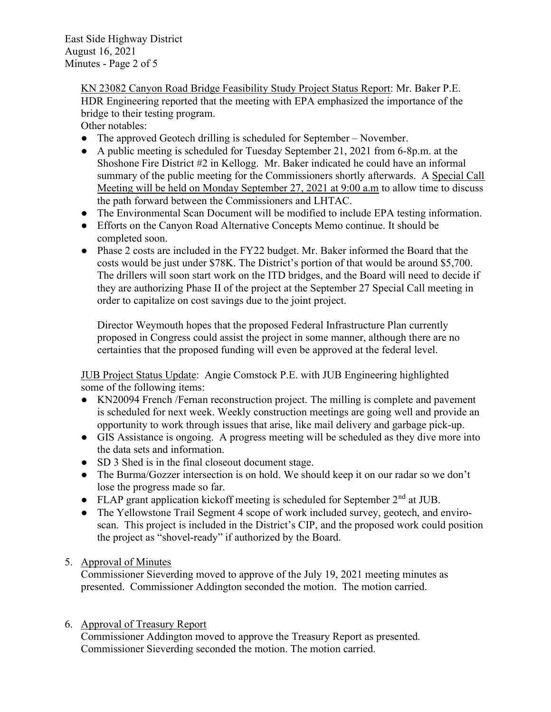East Side Highway District August 16, 2021 Minutes - Page 2 of 5

> KN 23082 Canyon Road Bridge Feasibility Study Project Status Report: Mr. Baker P.E. HDR Engineering reported that the meeting with EPA emphasized the importance of the bridge to their testing program.

Other notables:

- The approved Geotech drilling is scheduled for September November.
- A public meeting is scheduled for Tuesday September 21, 2021 from 6-8p.m. at the Shoshone Fire District #2 in Kellogg. Mr. Baker indicated he could have an informal summary of the public meeting for the Commissioners shortly afterwards. A Special Call Meeting will be held on Monday September 27, 2021 at 9:00 a.m to allow time to discuss the path forward between the Commissioners and LHTAC.
- The Environmental Scan Document will be modified to include EPA testing information.
- Efforts on the Canyon Road Alternative Concepts Memo continue. It should be completed soon.
- Phase 2 costs are included in the FY22 budget. Mr. Baker informed the Board that the costs would be just under \$78K. The District's portion of that would be around \$5,700. The drillers will soon start work on the ITD bridges, and the Board will need to decide if they are authorizing Phase II of the project at the September 27 Special Call meeting in order to capitalize on cost savings due to the joint project.

Director Weymouth hopes that the proposed Federal Infrastructure Plan currently proposed in Congress could assist the project in some manner, although there are no certainties that the proposed funding will even be approved at the federal level.

JUB Project Status Update: Angie Comstock P.E. with JUB Engineering highlighted some of the following items:

- KN20094 French /Fernan reconstruction project. The milling is complete and pavement is scheduled for next week. Weekly construction meetings are going well and provide an opportunity to work through issues that arise, like mail delivery and garbage pick-up.
- GIS Assistance is ongoing. A progress meeting will be scheduled as they dive more into the data sets and information.
- SD 3 Shed is in the final closeout document stage.
- The Burma/Gozzer intersection is on hold. We should keep it on our radar so we don't lose the progress made so far.
- $\bullet$  FLAP grant application kickoff meeting is scheduled for September 2<sup>nd</sup> at JUB.
- The Yellowstone Trail Segment 4 scope of work included survey, geotech, and enviroscan. This project is included in the District's CIP, and the proposed work could position the project as "shovel-ready" if authorized by the Board.

# 5. Approval of Minutes

Commissioner Sieverding moved to approve of the July 19, 2021 meeting minutes as presented. Commissioner Addington seconded the motion. The motion carried.

# 6. Approval of Treasury Report

Commissioner Addington moved to approve the Treasury Report as presented. Commissioner Sieverding seconded the motion. The motion carried.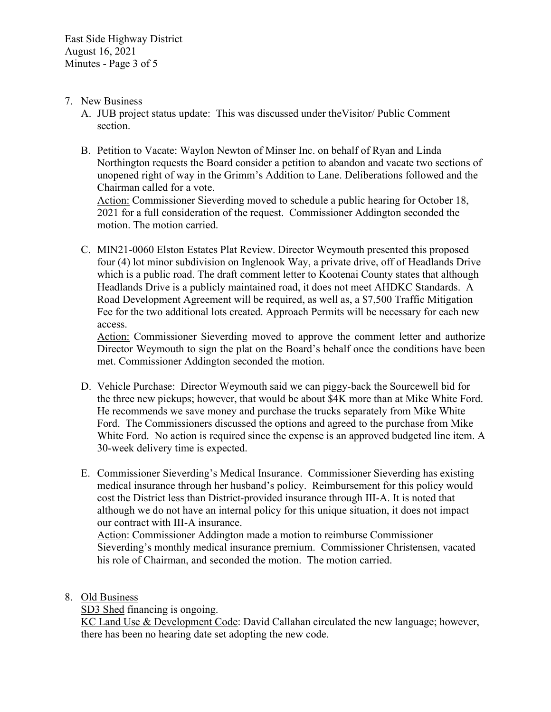### 7. New Business

- A. JUB project status update: This was discussed under theVisitor/ Public Comment section.
- B. Petition to Vacate: Waylon Newton of Minser Inc. on behalf of Ryan and Linda Northington requests the Board consider a petition to abandon and vacate two sections of unopened right of way in the Grimm's Addition to Lane. Deliberations followed and the Chairman called for a vote.

Action: Commissioner Sieverding moved to schedule a public hearing for October 18, 2021 for a full consideration of the request. Commissioner Addington seconded the motion. The motion carried.

C. MIN21-0060 Elston Estates Plat Review. Director Weymouth presented this proposed four (4) lot minor subdivision on Inglenook Way, a private drive, off of Headlands Drive which is a public road. The draft comment letter to Kootenai County states that although Headlands Drive is a publicly maintained road, it does not meet AHDKC Standards. A Road Development Agreement will be required, as well as, a \$7,500 Traffic Mitigation Fee for the two additional lots created. Approach Permits will be necessary for each new access.

Action: Commissioner Sieverding moved to approve the comment letter and authorize Director Weymouth to sign the plat on the Board's behalf once the conditions have been met. Commissioner Addington seconded the motion.

- D. Vehicle Purchase: Director Weymouth said we can piggy-back the Sourcewell bid for the three new pickups; however, that would be about \$4K more than at Mike White Ford. He recommends we save money and purchase the trucks separately from Mike White Ford. The Commissioners discussed the options and agreed to the purchase from Mike White Ford. No action is required since the expense is an approved budgeted line item. A 30-week delivery time is expected.
- E. Commissioner Sieverding's Medical Insurance. Commissioner Sieverding has existing medical insurance through her husband's policy. Reimbursement for this policy would cost the District less than District-provided insurance through III-A. It is noted that although we do not have an internal policy for this unique situation, it does not impact our contract with III-A insurance.

Action: Commissioner Addington made a motion to reimburse Commissioner Sieverding's monthly medical insurance premium. Commissioner Christensen, vacated his role of Chairman, and seconded the motion. The motion carried.

8. Old Business

SD3 Shed financing is ongoing.

KC Land Use & Development Code: David Callahan circulated the new language; however, there has been no hearing date set adopting the new code.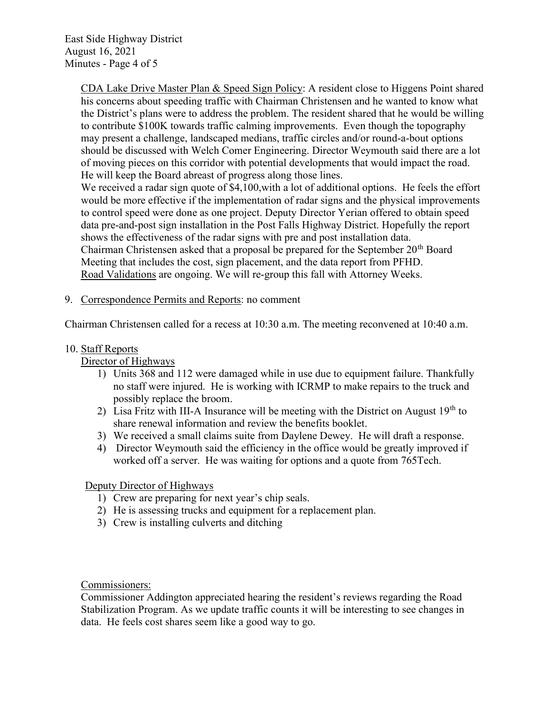East Side Highway District August 16, 2021 Minutes - Page 4 of 5

> CDA Lake Drive Master Plan & Speed Sign Policy: A resident close to Higgens Point shared his concerns about speeding traffic with Chairman Christensen and he wanted to know what the District's plans were to address the problem. The resident shared that he would be willing to contribute \$100K towards traffic calming improvements. Even though the topography may present a challenge, landscaped medians, traffic circles and/or round-a-bout options should be discussed with Welch Comer Engineering. Director Weymouth said there are a lot of moving pieces on this corridor with potential developments that would impact the road. He will keep the Board abreast of progress along those lines. We received a radar sign quote of \$4,100, with a lot of additional options. He feels the effort

> would be more effective if the implementation of radar signs and the physical improvements to control speed were done as one project. Deputy Director Yerian offered to obtain speed data pre-and-post sign installation in the Post Falls Highway District. Hopefully the report shows the effectiveness of the radar signs with pre and post installation data. Chairman Christensen asked that a proposal be prepared for the September  $20<sup>th</sup>$  Board

Meeting that includes the cost, sign placement, and the data report from PFHD.

Road Validations are ongoing. We will re-group this fall with Attorney Weeks.

### 9. Correspondence Permits and Reports: no comment

Chairman Christensen called for a recess at 10:30 a.m. The meeting reconvened at 10:40 a.m.

#### 10. Staff Reports

Director of Highways

- 1) Units 368 and 112 were damaged while in use due to equipment failure. Thankfully no staff were injured. He is working with ICRMP to make repairs to the truck and possibly replace the broom.
- 2) Lisa Fritz with III-A Insurance will be meeting with the District on August  $19<sup>th</sup>$  to share renewal information and review the benefits booklet.
- 3) We received a small claims suite from Daylene Dewey. He will draft a response.
- 4) Director Weymouth said the efficiency in the office would be greatly improved if worked off a server. He was waiting for options and a quote from 765Tech.

# Deputy Director of Highways

- 1) Crew are preparing for next year's chip seals.
- 2) He is assessing trucks and equipment for a replacement plan.
- 3) Crew is installing culverts and ditching

#### Commissioners:

Commissioner Addington appreciated hearing the resident's reviews regarding the Road Stabilization Program. As we update traffic counts it will be interesting to see changes in data. He feels cost shares seem like a good way to go.